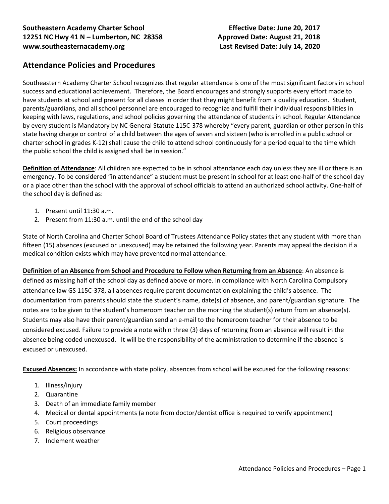# **Attendance Policies and Procedures**

Southeastern Academy Charter School recognizes that regular attendance is one of the most significant factors in school success and educational achievement. Therefore, the Board encourages and strongly supports every effort made to have students at school and present for all classes in order that they might benefit from a quality education. Student, parents/guardians, and all school personnel are encouraged to recognize and fulfill their individual responsibilities in keeping with laws, regulations, and school policies governing the attendance of students in school. Regular Attendance by every student is Mandatory by NC General Statute 115C-378 whereby "every parent, guardian or other person in this state having charge or control of a child between the ages of seven and sixteen (who is enrolled in a public school or charter school in grades K-12) shall cause the child to attend school continuously for a period equal to the time which the public school the child is assigned shall be in session."

**Definition of Attendance**: All children are expected to be in school attendance each day unless they are ill or there is an emergency. To be considered "in attendance" a student must be present in school for at least one-half of the school day or a place other than the school with the approval of school officials to attend an authorized school activity. One-half of the school day is defined as:

- 1. Present until 11:30 a.m.
- 2. Present from 11:30 a.m. until the end of the school day

State of North Carolina and Charter School Board of Trustees Attendance Policy states that any student with more than fifteen (15) absences (excused or unexcused) may be retained the following year. Parents may appeal the decision if a medical condition exists which may have prevented normal attendance.

**Definition of an Absence from School and Procedure to Follow when Returning from an Absence**: An absence is defined as missing half of the school day as defined above or more. In compliance with North Carolina Compulsory attendance law GS 115C-378, all absences require parent documentation explaining the child's absence. The documentation from parents should state the student's name, date(s) of absence, and parent/guardian signature. The notes are to be given to the student's homeroom teacher on the morning the student(s) return from an absence(s). Students may also have their parent/guardian send an e-mail to the homeroom teacher for their absence to be considered excused. Failure to provide a note within three (3) days of returning from an absence will result in the absence being coded unexcused. It will be the responsibility of the administration to determine if the absence is excused or unexcused.

**Excused Absences:** In accordance with state policy, absences from school will be excused for the following reasons:

- 1. Illness/injury
- 2. Quarantine
- 3. Death of an immediate family member
- 4. Medical or dental appointments (a note from doctor/dentist office is required to verify appointment)
- 5. Court proceedings
- 6. Religious observance
- 7. Inclement weather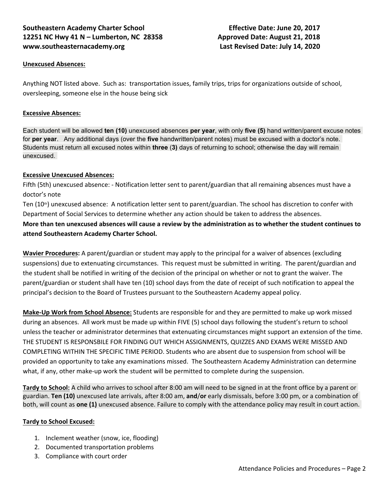## **Southeastern Academy Charter School Effective Date: June 20, 2017 12251 NC Hwy 41 N – Lumberton, NC 28358 Approved Date: August 21, 2018 www.southeasternacademy.org Last Revised Date: July 14, 2020**

#### **Unexcused Absences:**

Anything NOT listed above. Such as: transportation issues, family trips, trips for organizations outside of school, oversleeping, someone else in the house being sick

#### **Excessive Absences:**

Each student will be allowed **ten (10)** unexcused absences **per year**, with only **five (5)** hand written/parent excuse notes for **per year**. Any additional days (over the **five** handwritten/parent notes) must be excused with a doctor's note. Students must return all excused notes within **three** (**3)** days of returning to school; otherwise the day will remain unexcused.

#### **Excessive Unexcused Absences:**

Fifth (5th) unexcused absence: - Notification letter sent to parent/guardian that all remaining absences must have a doctor's note

Ten (10<sup>th</sup>) unexcused absence: A notification letter sent to parent/guardian. The school has discretion to confer with Department of Social Services to determine whether any action should be taken to address the absences.

**More than ten unexcused absences will cause a review by the administration as to whether the student continues to attend Southeastern Academy Charter School.** 

**Wavier Procedures:** A parent/guardian or student may apply to the principal for a waiver of absences (excluding suspensions) due to extenuating circumstances. This request must be submitted in writing. The parent/guardian and the student shall be notified in writing of the decision of the principal on whether or not to grant the waiver. The parent/guardian or student shall have ten (10) school days from the date of receipt of such notification to appeal the principal's decision to the Board of Trustees pursuant to the Southeastern Academy appeal policy.

**Make-Up Work from School Absence:** Students are responsible for and they are permitted to make up work missed during an absences. All work must be made up within FIVE (5) school days following the student's return to school unless the teacher or administrator determines that extenuating circumstances might support an extension of the time. THE STUDENT IS RESPONSBILE FOR FINDING OUT WHICH ASSIGNMENTS, QUIZZES AND EXAMS WERE MISSED AND COMPLETING WITHIN THE SPECIFIC TIME PERIOD. Students who are absent due to suspension from school will be provided an opportunity to take any examinations missed. The Southeastern Academy Administration can determine what, if any, other make-up work the student will be permitted to complete during the suspension.

**Tardy to School:** A child who arrives to school after 8:00 am will need to be signed in at the front office by a parent or guardian. **Ten (10)** unexcused late arrivals, after 8:00 am, **and**/**or** early dismissals, before 3:00 pm, or a combination of both, will count as **one (1)** unexcused absence. Failure to comply with the attendance policy may result in court action.

#### **Tardy to School Excused:**

- 1. Inclement weather (snow, ice, flooding)
- 2. Documented transportation problems
- 3. Compliance with court order